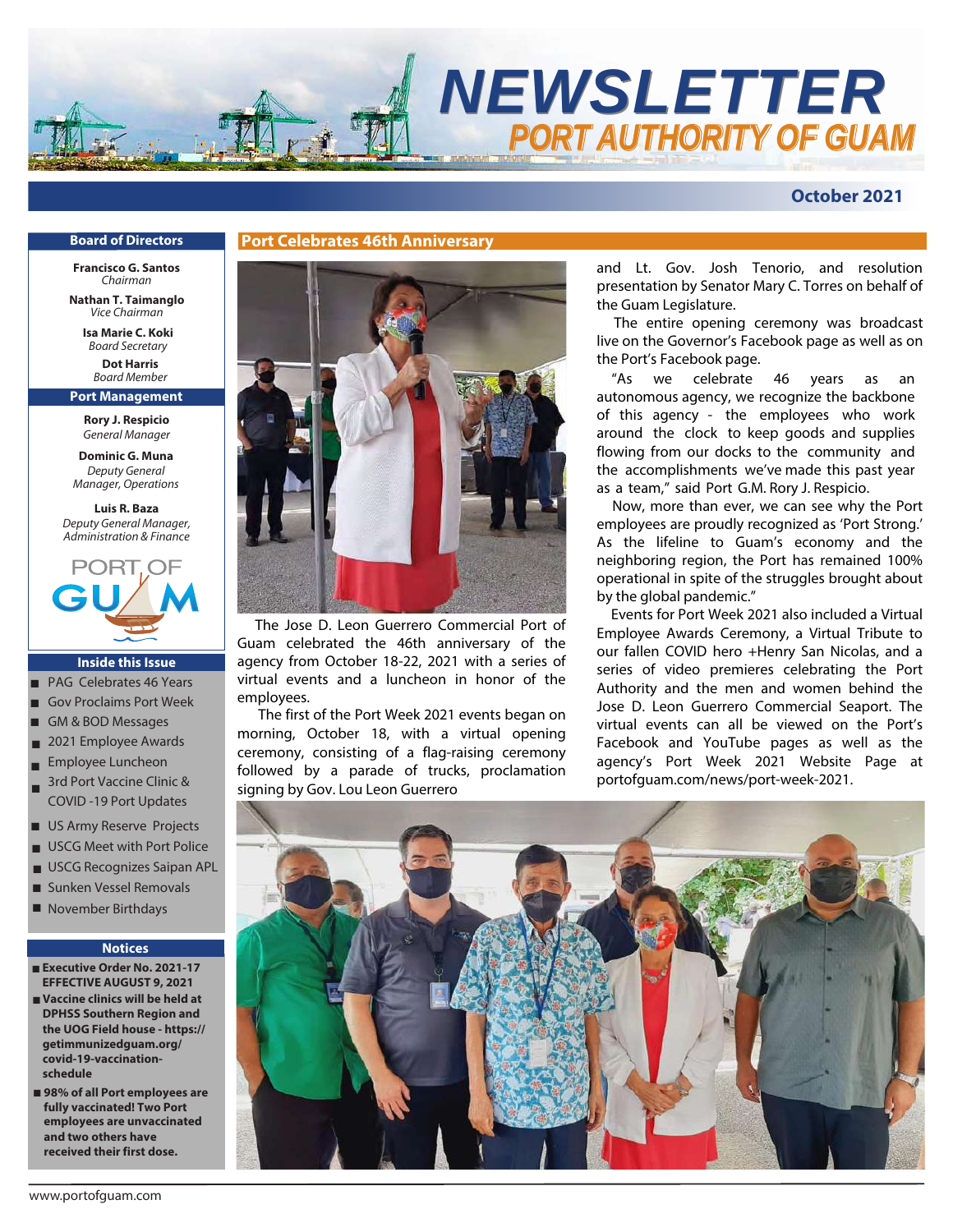

# **October 2021**

#### **Board of Directors**

**Francisco G. Santos**  *Chairman*

**Nathan T. Taimanglo**  *Vice Chairman*

**Isa Marie C. Koki** *Board Secretary*

**Dot Harris** *Board* Member

**Port Management**

**Rory J. Respicio** *General Manager*

**Dominic G. Muna** *Deputy General Manager, Operations*

**Luis R. Baza** *Deputy General Manager, Administration & Finance*



#### **Inside this Issue**

- PAG Celebrates 46 Years
- Gov Proclaims Port Week
- GM & BOD Messages
- 2021 Employee Awards ■
- Employee Luncheon ■
- 3rd Port Vaccine Clinic & COVID -19 Port Updates ■
- US Army Reserve Projects
- USCG Meet with Port Police ■
- USCG Recognizes Saipan APL
- Sunken Vessel Removals
- November Birthdays

#### **Notices**

- **Executive Order No. 2021-17 EFFECTIVE AUGUST 9, 2021**
- **Vaccine clinics will be held at DPHSS Southern Region and the UOG Field house - https:// getimmunizedguam.org/ covid-19-vaccinationschedule**
- 98% of all Port employees are **fully vaccinated! Two Port employees are unvaccinated and two others have received their first dose.**



 The Jose D. Leon Guerrero Commercial Port of Guam celebrated the 46th anniversary of the agency from October 18-22, 2021 with a series of virtual events and a luncheon in honor of the employees.

 The first of the Port Week 2021 events began on morning, October 18, with a virtual opening ceremony, consisting of a flag-raising ceremony followed by a parade of trucks, proclamation signing by Gov. Lou Leon Guerrero

and Lt. Gov. Josh Tenorio, and resolution presentation by Senator Mary C. Torres on behalf of the Guam Legislature.

The entire opening ceremony was broadcast live on the Governor's Facebook page as well as on the Port's Facebook page.

"As we celebrate 46 years as an autonomous agency, we recognize the backbone of this agency - the employees who work around the clock to keep goods and supplies flowing from our docks to the community and the accomplishments we've made this past year as a team," said Port G.M. Rory J. Respicio.

 Now, more than ever, we can see why the Port employees are proudly recognized as 'Port Strong.' As the lifeline to Guam's economy and the neighboring region, the Port has remained 100% operational in spite of the struggles brought about by the global pandemic."

 Events for Port Week 2021 also included a Virtual Employee Awards Ceremony, a Virtual Tribute to our fallen COVID hero +Henry San Nicolas, and a series of video premieres celebrating the Port Authority and the men and women behind the Jose D. Leon Guerrero Commercial Seaport. The virtual events can all be viewed on the Port's Facebook and YouTube pages as well as the agency's Port Week 2021 Website Page at portofguam.com/news/port-week-2021.

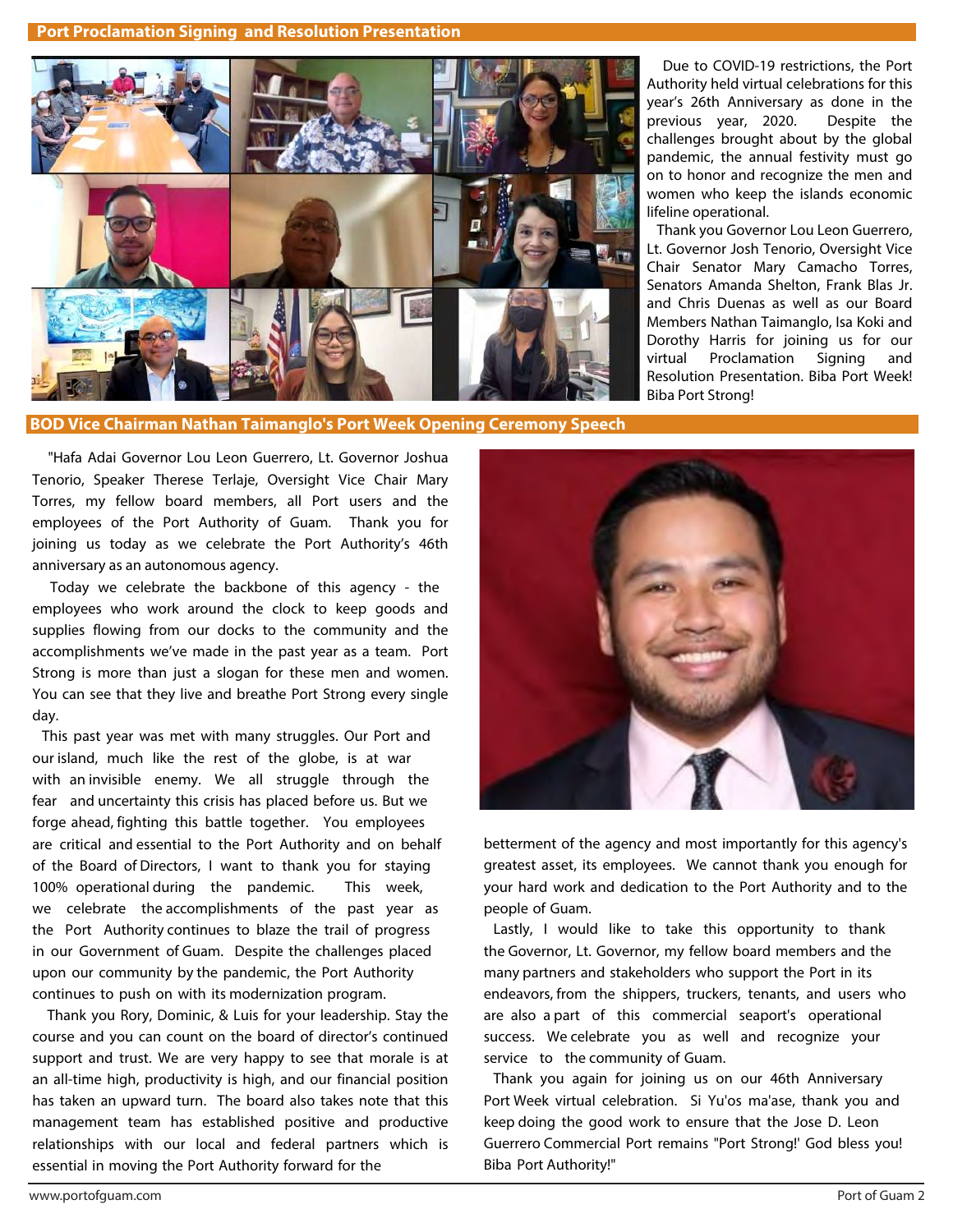**Port Proclamation Signing and Resolution Presentation**



 Due to COVID-19 restrictions, the Port Authority held virtual celebrations for this year's 26th Anniversary as done in the previous year, 2020. Despite the challenges brought about by the global pandemic, the annual festivity must go on to honor and recognize the men and women who keep the islands economic lifeline operational.

 Thank you Governor Lou Leon Guerrero, Lt. Governor Josh Tenorio, Oversight Vice Chair Senator Mary Camacho Torres, Senators Amanda Shelton, Frank Blas Jr. and Chris Duenas as well as our Board Members Nathan Taimanglo, Isa Koki and Dorothy Harris for joining us for our virtual Proclamation Signing and Resolution Presentation. Biba Port Week! Biba Port Strong!

**BOD Vice Chairman Nathan Taimanglo's Port Week Opening Ceremony Speech** 

 "Hafa Adai Governor Lou Leon Guerrero, Lt. Governor Joshua Tenorio, Speaker Therese Terlaje, Oversight Vice Chair Mary Torres, my fellow board members, all Port users and the employees of the Port Authority of Guam. Thank you for joining us today as we celebrate the Port Authority's 46th anniversary as an autonomous agency.

 Today we celebrate the backbone of this agency - the employees who work around the clock to keep goods and supplies flowing from our docks to the community and the accomplishments we've made in the past year as a team. Port Strong is more than just a slogan for these men and women. You can see that they live and breathe Port Strong every single day.

 This past year was met with many struggles. Our Port and our island, much like the rest of the globe, is at war with an invisible enemy. We all struggle through the fear and uncertainty this crisis has placed before us. But we forge ahead, fighting this battle together. You employees are critical and essential to the Port Authority and on behalf of the Board of Directors, I want to thank you for staying 100% operational during the pandemic. This week, we celebrate the accomplishments of the past year as the Port Authority continues to blaze the trail of progress in our Government of Guam. Despite the challenges placed upon our community by the pandemic, the Port Authority continues to push on with its modernization program.

 Thank you Rory, Dominic, & Luis for your leadership. Stay the course and you can count on the board of director's continued support and trust. We are very happy to see that morale is at an all-time high, productivity is high, and our financial position has taken an upward turn. The board also takes note that this management team has established positive and productive relationships with our local and federal partners which is essential in moving the Port Authority forward for the



betterment of the agency and most importantly for this agency's greatest asset, its employees. We cannot thank you enough for your hard work and dedication to the Port Authority and to the people of Guam.

 Lastly, I would like to take this opportunity to thank the Governor, Lt. Governor, my fellow board members and the many partners and stakeholders who support the Port in its endeavors, from the shippers, truckers, tenants, and users who are also a part of this commercial seaport's operational success. We celebrate you as well and recognize your service to the community of Guam.

 Thank you again for joining us on our 46th Anniversary Port Week virtual celebration. Si Yu'os ma'ase, thank you and keep doing the good work to ensure that the Jose D. Leon Guerrero Commercial Port remains "Port Strong!' God bless you! Biba Port Authority!"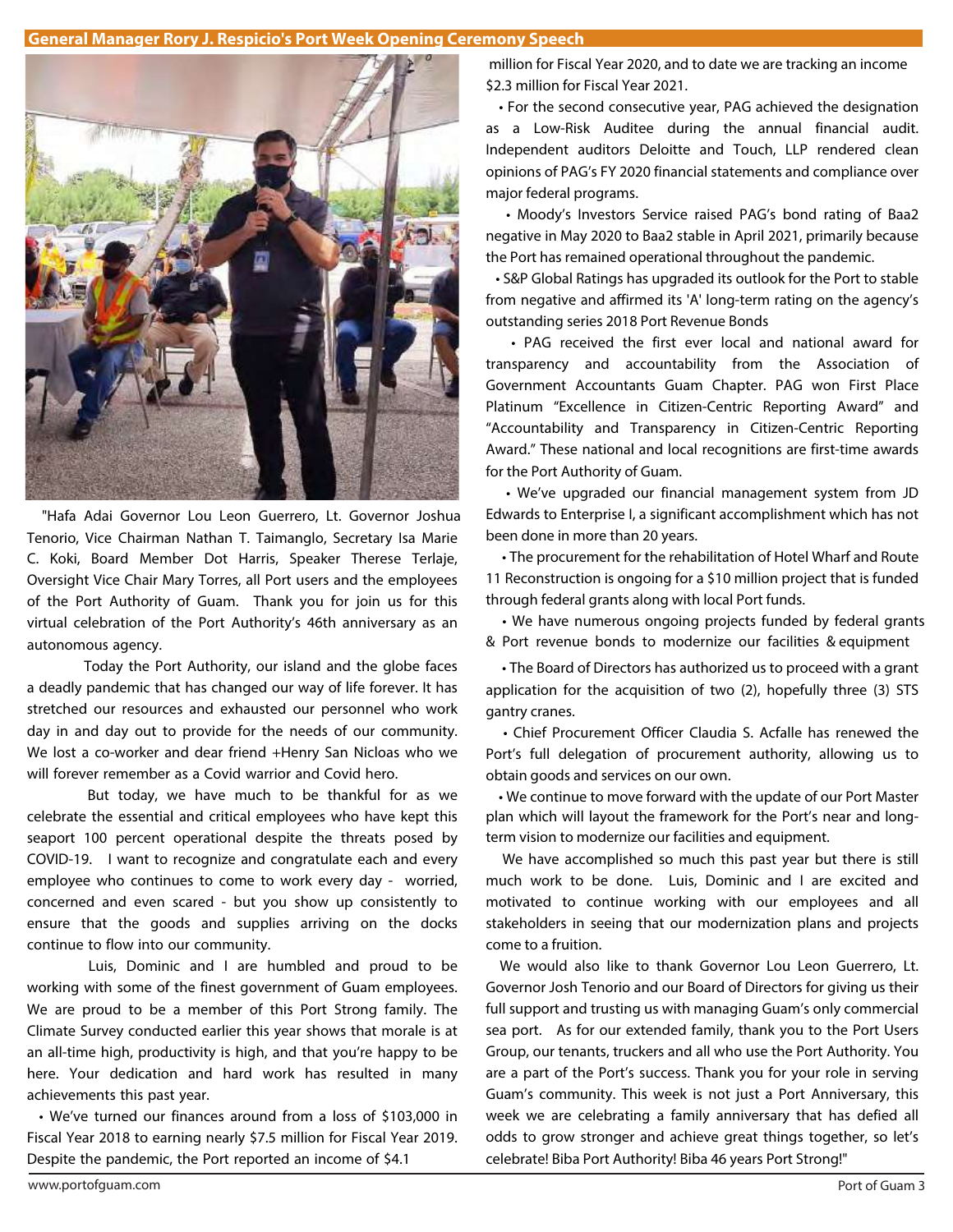## **General Manager Rory J. Respicio's Port Week Opening Ceremony Speech**



 "Hafa Adai Governor Lou Leon Guerrero, Lt. Governor Joshua Tenorio, Vice Chairman Nathan T. Taimanglo, Secretary Isa Marie C. Koki, Board Member Dot Harris, Speaker Therese Terlaje, Oversight Vice Chair Mary Torres, all Port users and the employees of the Port Authority of Guam. Thank you for join us for this virtual celebration of the Port Authority's 46th anniversary as an autonomous agency.

Today the Port Authority, our island and the globe faces a deadly pandemic that has changed our way of life forever. It has stretched our resources and exhausted our personnel who work day in and day out to provide for the needs of our community. We lost a co-worker and dear friend +Henry San Nicloas who we will forever remember as a Covid warrior and Covid hero.

But today, we have much to be thankful for as we celebrate the essential and critical employees who have kept this seaport 100 percent operational despite the threats posed by COVID-19. I want to recognize and congratulate each and every employee who continues to come to work every day - worried, concerned and even scared - but you show up consistently to ensure that the goods and supplies arriving on the docks continue to flow into our community.

Luis, Dominic and I are humbled and proud to be working with some of the finest government of Guam employees. We are proud to be a member of this Port Strong family. The Climate Survey conducted earlier this year shows that morale is at an all-time high, productivity is high, and that you're happy to be here. Your dedication and hard work has resulted in many achievements this past year.

• We've turned our finances around from a loss of \$103,000 in Fiscal Year 2018 to earning nearly \$7.5 million for Fiscal Year 2019. Despite the pandemic, the Port reported an income of \$4.1

million for Fiscal Year 2020, and to date we are tracking an income \$2.3 million for Fiscal Year 2021.

• For the second consecutive year, PAG achieved the designation as a Low-Risk Auditee during the annual financial audit. Independent auditors Deloitte and Touch, LLP rendered clean opinions of PAG's FY 2020 financial statements and compliance over major federal programs.

• Moody's Investors Service raised PAG's bond rating of Baa2 negative in May 2020 to Baa2 stable in April 2021, primarily because the Port has remained operational throughout the pandemic.

• S&P Global Ratings has upgraded its outlook for the Port to stable from negative and affirmed its 'A' long-term rating on the agency's outstanding series 2018 Port Revenue Bonds

• PAG received the first ever local and national award for transparency and accountability from the Association of Government Accountants Guam Chapter. PAG won First Place Platinum "Excellence in Citizen-Centric Reporting Award" and "Accountability and Transparency in Citizen-Centric Reporting Award." These national and local recognitions are first-time awards for the Port Authority of Guam.

• We've upgraded our financial management system from JD Edwards to Enterprise I, a significant accomplishment which has not been done in more than 20 years.

• The procurement for the rehabilitation of Hotel Wharf and Route 11 Reconstruction is ongoing for a \$10 million project that is funded through federal grants along with local Port funds.

• We have numerous ongoing projects funded by federal grants & Port revenue bonds to modernize our facilities & equipment

• The Board of Directors has authorized us to proceed with a grant application for the acquisition of two (2), hopefully three (3) STS gantry cranes.

• Chief Procurement Officer Claudia S. Acfalle has renewed the Port's full delegation of procurement authority, allowing us to obtain goods and services on our own.

• We continue to move forward with the update of our Port Master plan which will layout the framework for the Port's near and longterm vision to modernize our facilities and equipment.

 We have accomplished so much this past year but there is still much work to be done. Luis, Dominic and I are excited and motivated to continue working with our employees and all stakeholders in seeing that our modernization plans and projects come to a fruition.

 We would also like to thank Governor Lou Leon Guerrero, Lt. Governor Josh Tenorio and our Board of Directors for giving us their full support and trusting us with managing Guam's only commercial sea port. As for our extended family, thank you to the Port Users Group, our tenants, truckers and all who use the Port Authority. You are a part of the Port's success. Thank you for your role in serving Guam's community. This week is not just a Port Anniversary, this week we are celebrating a family anniversary that has defied all odds to grow stronger and achieve great things together, so let's celebrate! Biba Port Authority! Biba 46 years Port Strong!"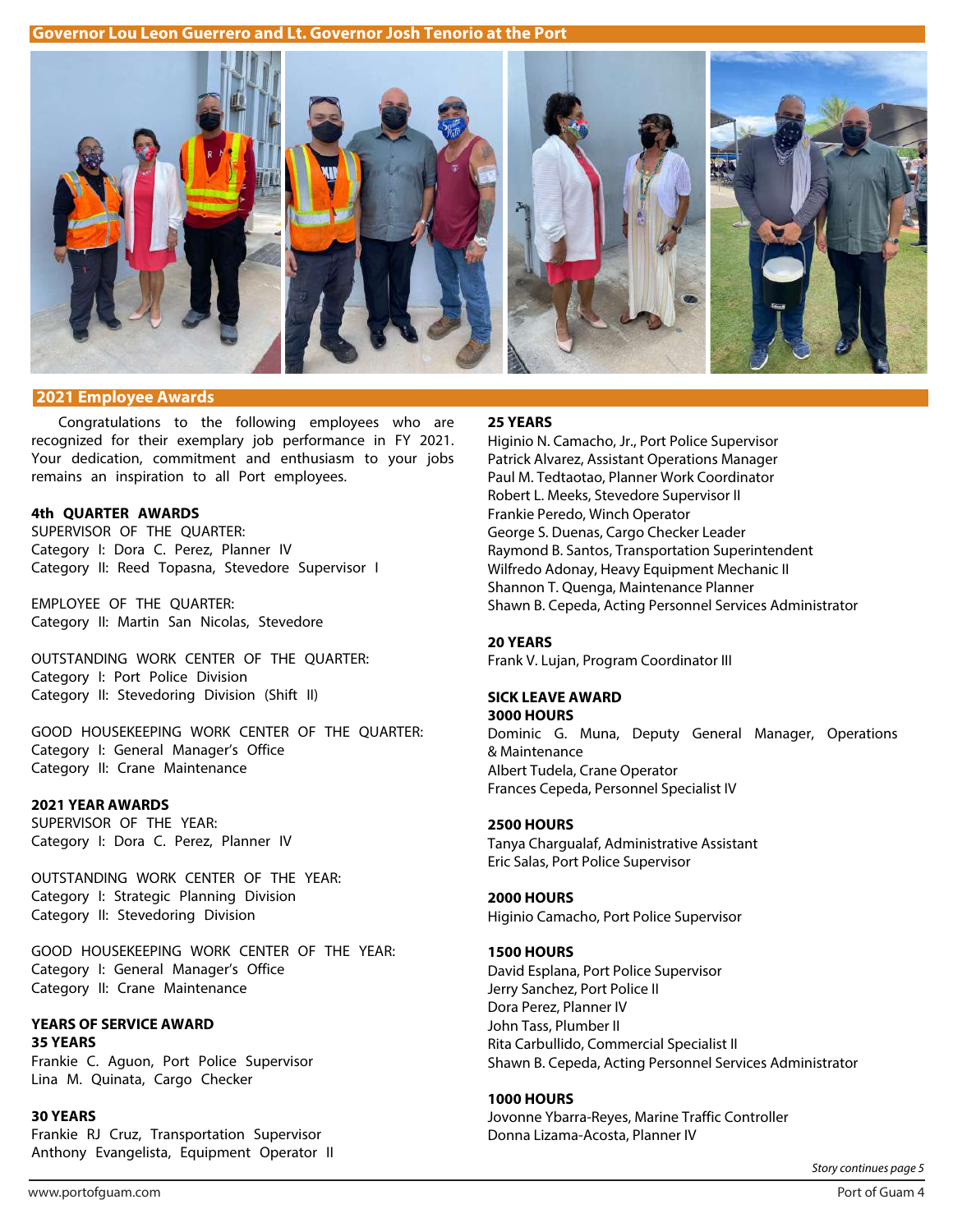**Governor Lou Leon Guerrero and Lt. Governor Josh Tenorio at the Port**



#### **2021 Employee Awards**

Congratulations to the following employees who are recognized for their exemplary job performance in FY 2021. Your dedication, commitment and enthusiasm to your jobs remains an inspiration to all Port employees.

## **4th QUARTER AWARDS**

SUPERVISOR OF THE QUARTER: Category I: Dora C. Perez, Planner IV Category II: Reed Topasna, Stevedore Supervisor I

EMPLOYEE OF THE QUARTER: Category II: Martin San Nicolas, Stevedore

OUTSTANDING WORK CENTER OF THE QUARTER: Category I: Port Police Division Category II: Stevedoring Division (Shift II)

GOOD HOUSEKEEPING WORK CENTER OF THE QUARTER: Category I: General Manager's Office Category II: Crane Maintenance

## **2021 YEAR AWARDS**

SUPERVISOR OF THE YEAR: Category I: Dora C. Perez, Planner IV

OUTSTANDING WORK CENTER OF THE YEAR: Category I: Strategic Planning Division Category II: Stevedoring Division

GOOD HOUSEKEEPING WORK CENTER OF THE YEAR: Category I: General Manager's Office Category II: Crane Maintenance

#### **YEARS OF SERVICE AWARD 35 YEARS**

Frankie C. Aguon, Port Police Supervisor Lina M. Quinata, Cargo Checker

## **30 YEARS**

Frankie RJ Cruz, Transportation Supervisor Anthony Evangelista, Equipment Operator II

#### **25 YEARS**

Higinio N. Camacho, Jr., Port Police Supervisor Patrick Alvarez, Assistant Operations Manager Paul M. Tedtaotao, Planner Work Coordinator Robert L. Meeks, Stevedore Supervisor II Frankie Peredo, Winch Operator George S. Duenas, Cargo Checker Leader Raymond B. Santos, Transportation Superintendent Wilfredo Adonay, Heavy Equipment Mechanic II Shannon T. Quenga, Maintenance Planner Shawn B. Cepeda, Acting Personnel Services Administrator

#### **20 YEARS**

Frank V. Lujan, Program Coordinator III

# **SICK LEAVE AWARD**

**3000 HOURS** Dominic G. Muna, Deputy General Manager, Operations & Maintenance Albert Tudela, Crane Operator Frances Cepeda, Personnel Specialist IV

### **2500 HOURS**

Tanya Chargualaf, Administrative Assistant Eric Salas, Port Police Supervisor

## **2000 HOURS**

Higinio Camacho, Port Police Supervisor

### **1500 HOURS**

David Esplana, Port Police Supervisor Jerry Sanchez, Port Police II Dora Perez, Planner IV John Tass, Plumber II Rita Carbullido, Commercial Specialist II Shawn B. Cepeda, Acting Personnel Services Administrator

#### **1000 HOURS**

Jovonne Ybarra-Reyes, Marine Traffic Controller Donna Lizama-Acosta, Planner IV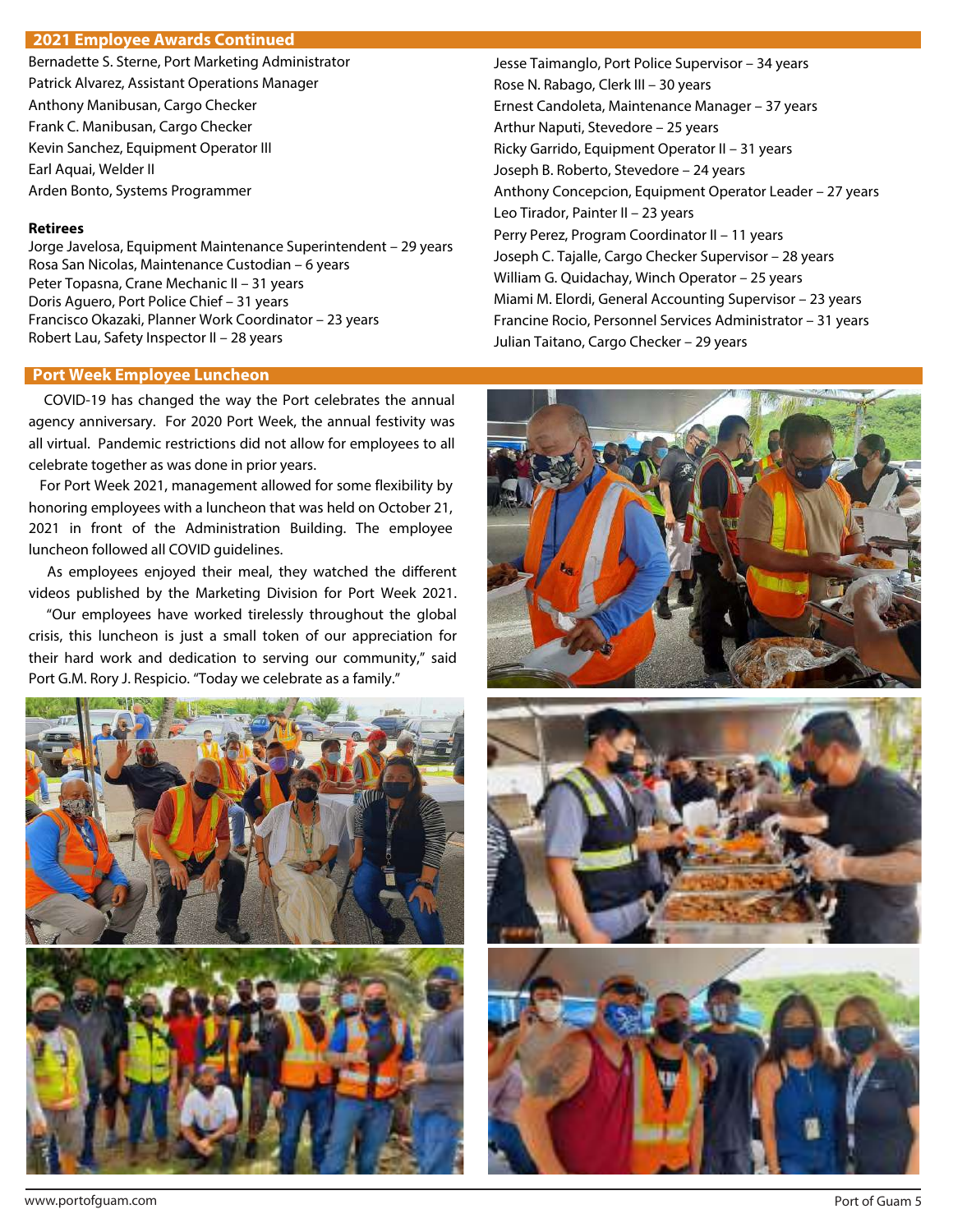## **Continuation: 2021 Employee Awards 2021 Employee Awards Continued**

Bernadette S. Sterne, Port Marketing Administrator Patrick Alvarez, Assistant Operations Manager Anthony Manibusan, Cargo Checker Frank C. Manibusan, Cargo Checker Kevin Sanchez, Equipment Operator III Earl Aquai, Welder II Arden Bonto, Systems Programmer

#### **Retirees**

Jorge Javelosa, Equipment Maintenance Superintendent – 29 years Rosa San Nicolas, Maintenance Custodian – 6 years Peter Topasna, Crane Mechanic II – 31 years Doris Aguero, Port Police Chief – 31 years Francisco Okazaki, Planner Work Coordinator – 23 years Robert Lau, Safety Inspector II – 28 years

## **Port Week Employee Luncheon**

 COVID-19 has changed the way the Port celebrates the annual agency anniversary. For 2020 Port Week, the annual festivity was all virtual. Pandemic restrictions did not allow for employees to all celebrate together as was done in prior years.

 For Port Week 2021, management allowed for some flexibility by honoring employees with a luncheon that was held on October 21, 2021 in front of the Administration Building. The employee luncheon followed all COVID guidelines.

 As employees enjoyed their meal, they watched the different videos published by the Marketing Division for Port Week 2021.

 "Our employees have worked tirelessly throughout the global crisis, this luncheon is just a small token of our appreciation for their hard work and dedication to serving our community," said Port G.M. Rory J. Respicio. "Today we celebrate as a family."



Jesse Taimanglo, Port Police Supervisor – 34 years Rose N. Rabago, Clerk III – 30 years Ernest Candoleta, Maintenance Manager – 37 years Arthur Naputi, Stevedore – 25 years Ricky Garrido, Equipment Operator II – 31 years Joseph B. Roberto, Stevedore – 24 years Anthony Concepcion, Equipment Operator Leader – 27 years Leo Tirador, Painter II – 23 years Perry Perez, Program Coordinator II – 11 years Joseph C. Tajalle, Cargo Checker Supervisor – 28 years William G. Quidachay, Winch Operator – 25 years Miami M. Elordi, General Accounting Supervisor – 23 years Francine Rocio, Personnel Services Administrator – 31 years Julian Taitano, Cargo Checker – 29 years





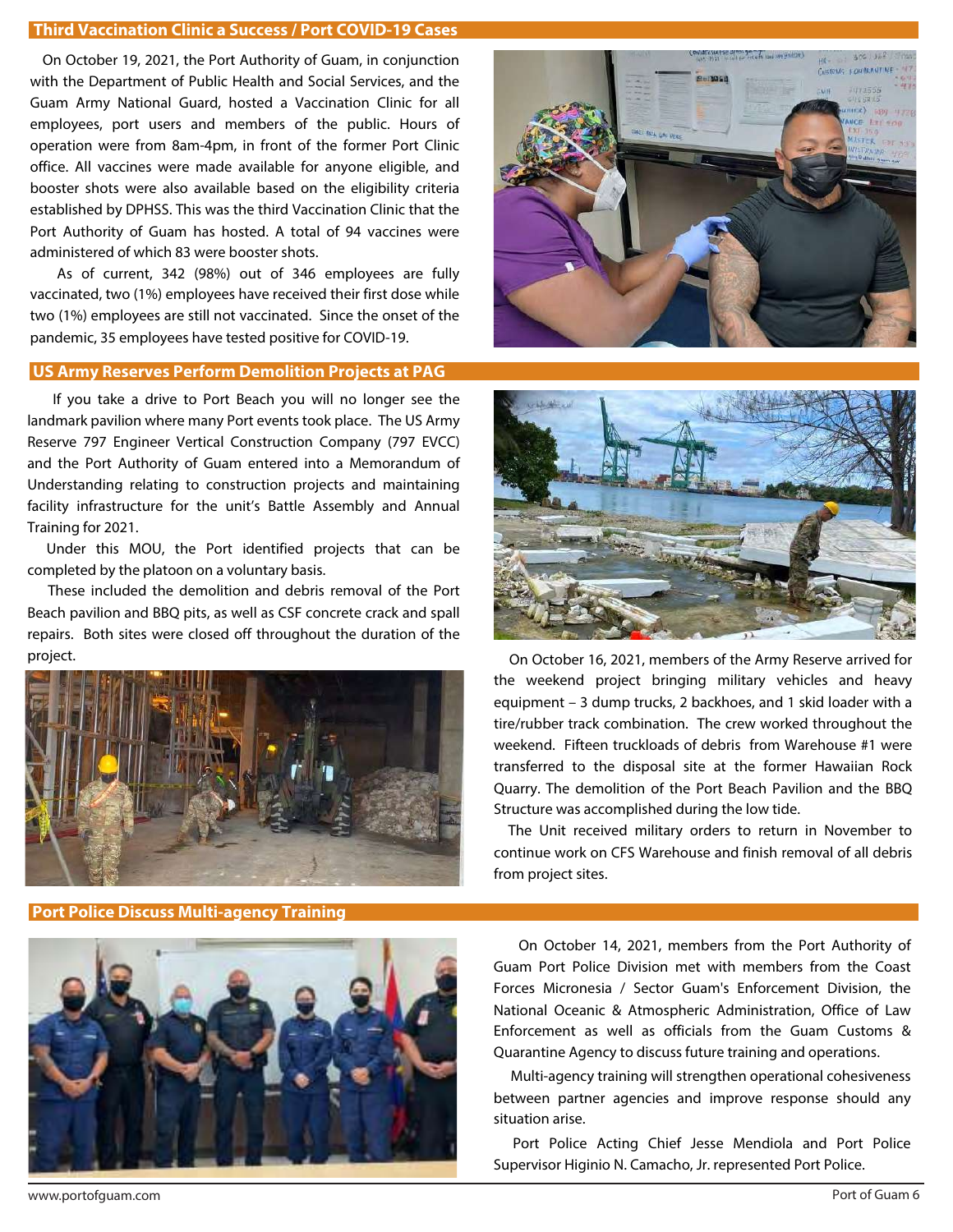## **Third Vaccination Clinic a Success / Port COVID-19 Cases**

 On October 19, 2021, the Port Authority of Guam, in conjunction with the Department of Public Health and Social Services, and the Guam Army National Guard, hosted a Vaccination Clinic for all employees, port users and members of the public. Hours of operation were from 8am-4pm, in front of the former Port Clinic office. All vaccines were made available for anyone eligible, and booster shots were also available based on the eligibility criteria established by DPHSS. This was the third Vaccination Clinic that the Port Authority of Guam has hosted. A total of 94 vaccines were administered of which 83 were booster shots.

 As of current, 342 (98%) out of 346 employees are fully vaccinated, two (1%) employees have received their first dose while two (1%) employees are still not vaccinated. Since the onset of the pandemic, 35 employees have tested positive for COVID-19.

## **US Army Reserves Perform Demolition Projects at PAG**

 If you take a drive to Port Beach you will no longer see the landmark pavilion where many Port events took place. The US Army Reserve 797 Engineer Vertical Construction Company (797 EVCC) and the Port Authority of Guam entered into a Memorandum of Understanding relating to construction projects and maintaining facility infrastructure for the unit's Battle Assembly and Annual Training for 2021.

 Under this MOU, the Port identified projects that can be completed by the platoon on a voluntary basis.

 These included the demolition and debris removal of the Port Beach pavilion and BBQ pits, as well as CSF concrete crack and spall repairs. Both sites were closed off throughout the duration of the project.



**Port Police Discuss Multi-agency Training**







 On October 16, 2021, members of the Army Reserve arrived for the weekend project bringing military vehicles and heavy equipment – 3 dump trucks, 2 backhoes, and 1 skid loader with a tire/rubber track combination. The crew worked throughout the weekend. Fifteen truckloads of debris from Warehouse #1 were transferred to the disposal site at the former Hawaiian Rock Quarry. The demolition of the Port Beach Pavilion and the BBQ Structure was accomplished during the low tide.

 The Unit received military orders to return in November to continue work on CFS Warehouse and finish removal of all debris from project sites.

 On October 14, 2021, members from the Port Authority of Guam Port Police Division met with members from the Coast Forces Micronesia / Sector Guam's Enforcement Division, the National Oceanic & Atmospheric Administration, Office of Law Enforcement as well as officials from the Guam Customs & Quarantine Agency to discuss future training and operations.

 Multi-agency training will strengthen operational cohesiveness between partner agencies and improve response should any situation arise.

 Port Police Acting Chief Jesse Mendiola and Port Police Supervisor Higinio N. Camacho, Jr. represented Port Police.

www.portofguam.com Port of Guam 6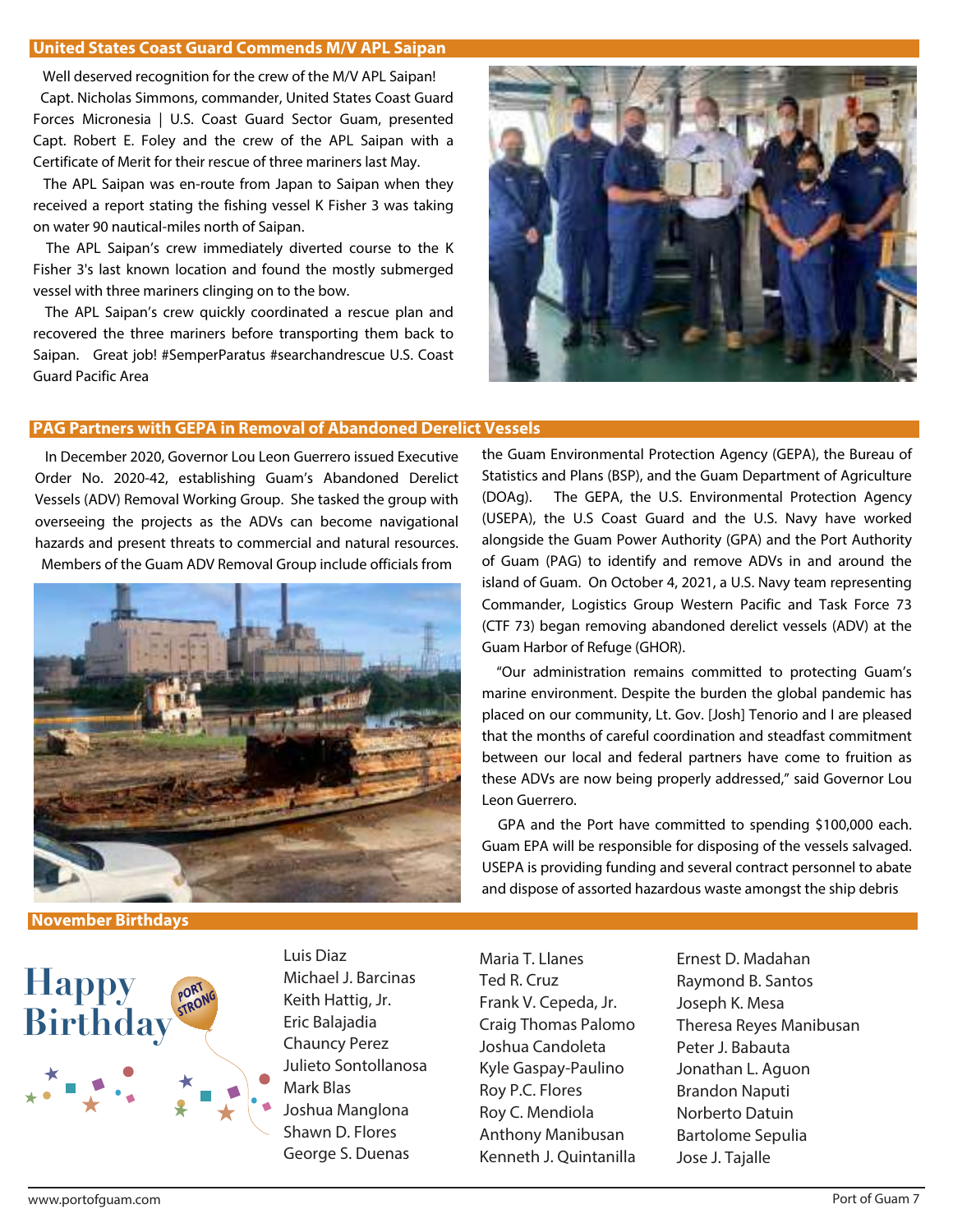### **United States Coast Guard Commends M/V APL Saipan**

 Well deserved recognition for the crew of the M/V APL Saipan! Capt. Nicholas Simmons, commander, United States Coast Guard Forces Micronesia | U.S. Coast Guard Sector Guam, presented Capt. Robert E. Foley and the crew of the APL Saipan with a Certificate of Merit for their rescue of three mariners last May.

 The APL Saipan was en-route from Japan to Saipan when they received a report stating the fishing vessel K Fisher 3 was taking on water 90 nautical-miles north of Saipan.

 The APL Saipan's crew immediately diverted course to the K Fisher 3's last known location and found the mostly submerged vessel with three mariners clinging on to the bow.

 The APL Saipan's crew quickly coordinated a rescue plan and recovered the three mariners before transporting them back to Saipan. Great job! #SemperParatus #searchandrescue U.S. Coast Guard Pacific Area



## **PAG Partners with GEPA in Removal of Abandoned Derelict Vessels**

In December 2020, Governor Lou Leon Guerrero issued Executive Order No. 2020-42, establishing Guam's Abandoned Derelict Vessels (ADV) Removal Working Group. She tasked the group with overseeing the projects as the ADVs can become navigational hazards and present threats to commercial and natural resources. Members of the Guam ADV Removal Group include officials from



**November Birthdays** 



Luis Diaz Michael J. Barcinas Keith Hattig, Jr. Eric Balajadia Chauncy Perez Julieto Sontollanosa Mark Blas Joshua Manglona Shawn D. Flores George S. Duenas

Maria T. Llanes Ted R. Cruz Frank V. Cepeda, Jr. Craig Thomas Palomo Joshua Candoleta Kyle Gaspay-Paulino Roy P.C. Flores Roy C. Mendiola Anthony Manibusan Kenneth J. Quintanilla Ernest D. Madahan Raymond B. Santos Joseph K. Mesa Theresa Reyes Manibusan Peter J. Babauta Jonathan L. Aguon Brandon Naputi Norberto Datuin Bartolome Sepulia Jose J. Tajalle

the Guam Environmental Protection Agency (GEPA), the Bureau of Statistics and Plans (BSP), and the Guam Department of Agriculture (DOAg). The GEPA, the U.S. Environmental Protection Agency (USEPA), the U.S Coast Guard and the U.S. Navy have worked alongside the Guam Power Authority (GPA) and the Port Authority of Guam (PAG) to identify and remove ADVs in and around the island of Guam. On October 4, 2021, a U.S. Navy team representing Commander, Logistics Group Western Pacific and Task Force 73 (CTF 73) began removing abandoned derelict vessels (ADV) at the Guam Harbor of Refuge (GHOR).

 "Our administration remains committed to protecting Guam's marine environment. Despite the burden the global pandemic has placed on our community, Lt. Gov. [Josh] Tenorio and I are pleased that the months of careful coordination and steadfast commitment between our local and federal partners have come to fruition as these ADVs are now being properly addressed," said Governor Lou Leon Guerrero.

 GPA and the Port have committed to spending \$100,000 each. Guam EPA will be responsible for disposing of the vessels salvaged. USEPA is providing funding and several contract personnel to abate and dispose of assorted hazardous waste amongst the ship debris